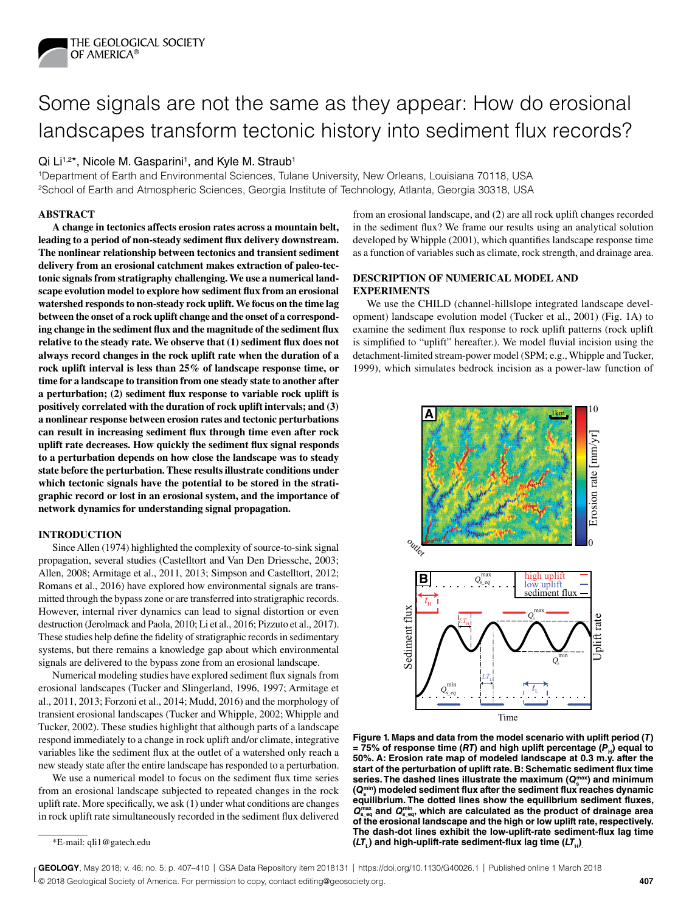

# Some signals are not the same as they appear: How do erosional landscapes transform tectonic history into sediment flux records?

# Qi Li<sup>1,2\*</sup>, Nicole M. Gasparini<sup>1</sup>, and Kyle M. Straub<sup>1</sup>

1Department of Earth and Environmental Sciences, Tulane University, New Orleans, Louisiana 70118, USA 2School of Earth and Atmospheric Sciences, Georgia Institute of Technology, Atlanta, Georgia 30318, USA

## **ABSTRACT**

**A change in tectonics affects erosion rates across a mountain belt, leading to a period of non-steady sediment flux delivery downstream. The nonlinear relationship between tectonics and transient sediment delivery from an erosional catchment makes extraction of paleo-tectonic signals from stratigraphy challenging. We use a numerical landscape evolution model to explore how sediment flux from an erosional watershed responds to non-steady rock uplift. We focus on the time lag between the onset of a rock uplift change and the onset of a corresponding change in the sediment flux and the magnitude of the sediment flux relative to the steady rate. We observe that (1) sediment flux does not always record changes in the rock uplift rate when the duration of a rock uplift interval is less than 25% of landscape response time, or time for a landscape to transition from one steady state to another after a perturbation; (2) sediment flux response to variable rock uplift is positively correlated with the duration of rock uplift intervals; and (3) a nonlinear response between erosion rates and tectonic perturbations can result in increasing sediment flux through time even after rock uplift rate decreases. How quickly the sediment flux signal responds to a perturbation depends on how close the landscape was to steady state before the perturbation. These results illustrate conditions under which tectonic signals have the potential to be stored in the stratigraphic record or lost in an erosional system, and the importance of network dynamics for understanding signal propagation.**

#### **INTRODUCTION**

Since Allen (1974) highlighted the complexity of source-to-sink signal propagation, several studies (Castelltort and Van Den Driessche, 2003; Allen, 2008; Armitage et al., 2011, 2013; Simpson and Castelltort, 2012; Romans et al., 2016) have explored how environmental signals are transmitted through the bypass zone or are transferred into stratigraphic records. However, internal river dynamics can lead to signal distortion or even destruction (Jerolmack and Paola, 2010; Li et al., 2016; Pizzuto et al., 2017). These studies help define the fidelity of stratigraphic records in sedimentary systems, but there remains a knowledge gap about which environmental signals are delivered to the bypass zone from an erosional landscape.

Numerical modeling studies have explored sediment flux signals from erosional landscapes (Tucker and Slingerland, 1996, 1997; Armitage et al., 2011, 2013; Forzoni et al., 2014; Mudd, 2016) and the morphology of transient erosional landscapes (Tucker and Whipple, 2002; Whipple and Tucker, 2002). These studies highlight that although parts of a landscape respond immediately to a change in rock uplift and/or climate, integrative variables like the sediment flux at the outlet of a watershed only reach a new steady state after the entire landscape has responded to a perturbation.

We use a numerical model to focus on the sediment flux time series from an erosional landscape subjected to repeated changes in the rock uplift rate. More specifically, we ask (1) under what conditions are changes in rock uplift rate simultaneously recorded in the sediment flux delivered

from an erosional landscape, and (2) are all rock uplift changes recorded in the sediment flux? We frame our results using an analytical solution developed by Whipple (2001), which quantifies landscape response time as a function of variables such as climate, rock strength, and drainage area.

## **DESCRIPTION OF NUMERICAL MODEL AND EXPERIMENTS**

We use the CHILD (channel-hillslope integrated landscape development) landscape evolution model (Tucker et al., 2001) (Fig. 1A) to examine the sediment flux response to rock uplift patterns (rock uplift is simplified to "uplift" hereafter.). We model fluvial incision using the detachment-limited stream-power model (SPM; e.g., Whipple and Tucker, 1999), which simulates bedrock incision as a power-law function of



**Figure 1. Maps and data from the model scenario with uplift period (***T***)**   $= 75\%$  of response time (*RT*) and high uplift percentage ( $P$ <sub>H</sub>) equal to **50%. A: Erosion rate map of modeled landscape at 0.3 m.y. after the start of the perturbation of uplift rate. B: Schematic sediment flux time**  series. The dashed lines illustrate the maximum ( $Q_{\rm s}^{\rm max}$ ) and minimum **(***Q***<sup>s</sup> min) modeled sediment flux after the sediment flux reaches dynamic equilibrium. The dotted lines show the equilibrium sediment fluxes,**   $Q_{\text{s}_{\text{eq}}}^{\text{max}}$  and  $Q_{\text{s}_{\text{eq}}}^{\text{min}}$ , which are calculated as the product of drainage area **of the erosional landscape and the high or low uplift rate, respectively. The dash-dot lines exhibit the low-uplift-rate sediment-flux lag time**   $(LT_i)$  and high-uplift-rate sediment-flux lag time  $(LT_{\mu})$ .

<sup>\*</sup>E-mail: [qli1@gatech.edu](mailto:qli1%40gatech.edu?subject=)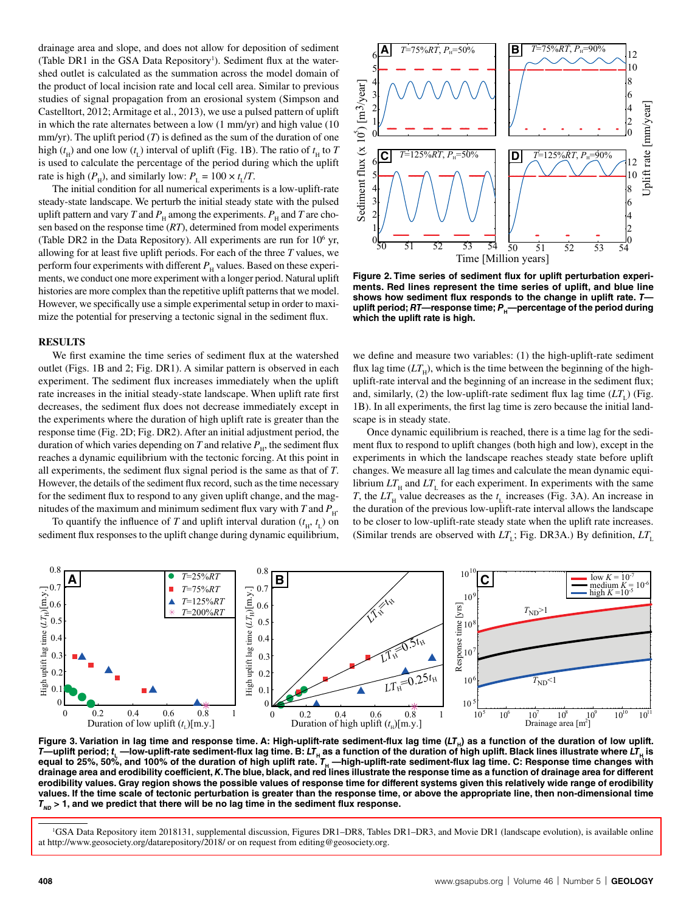drainage area and slope, and does not allow for deposition of sediment (Table DR1 in the GSA Data Repository<sup>1</sup>). Sediment flux at the watershed outlet is calculated as the summation across the model domain of the product of local incision rate and local cell area. Similar to previous studies of signal propagation from an erosional system (Simpson and Castelltort, 2012; Armitage et al., 2013), we use a pulsed pattern of uplift in which the rate alternates between a low (1 mm/yr) and high value (10 mm/yr). The uplift period  $(T)$  is defined as the sum of the duration of one high ( $t<sub>H</sub>$ ) and one low ( $t<sub>L</sub>$ ) interval of uplift (Fig. 1B). The ratio of  $t<sub>H</sub>$  to *T* is used to calculate the percentage of the period during which the uplift rate is high ( $P_H$ ), and similarly low:  $P_L = 100 \times t_L/T$ .

The initial condition for all numerical experiments is a low-uplift-rate steady-state landscape. We perturb the initial steady state with the pulsed uplift pattern and vary *T* and  $P_\text{H}$  among the experiments.  $P_\text{H}$  and *T* are chosen based on the response time (*RT*), determined from model experiments (Table DR2 in the Data Repository). All experiments are run for 10<sup>6</sup> yr, allowing for at least five uplift periods. For each of the three *T* values, we perform four experiments with different  $P<sub>H</sub>$  values. Based on these experiments, we conduct one more experiment with a longer period. Natural uplift histories are more complex than the repetitive uplift patterns that we model. However, we specifically use a simple experimental setup in order to maximize the potential for preserving a tectonic signal in the sediment flux.

## **RESULTS**

We first examine the time series of sediment flux at the watershed outlet (Figs. 1B and 2; Fig. DR1). A similar pattern is observed in each experiment. The sediment flux increases immediately when the uplift rate increases in the initial steady-state landscape. When uplift rate first decreases, the sediment flux does not decrease immediately except in the experiments where the duration of high uplift rate is greater than the response time (Fig. 2D; Fig. DR2). After an initial adjustment period, the duration of which varies depending on *T* and relative  $P_{\text{H}}$ , the sediment flux reaches a dynamic equilibrium with the tectonic forcing. At this point in all experiments, the sediment flux signal period is the same as that of *T*. However, the details of the sediment flux record, such as the time necessary for the sediment flux to respond to any given uplift change, and the magnitudes of the maximum and minimum sediment flux vary with *T* and  $P_{\text{H}}$ .

To quantify the influence of *T* and uplift interval duration  $(t<sub>H</sub>, t<sub>L</sub>)$  on sediment flux responses to the uplift change during dynamic equilibrium,



**Figure 2. Time series of sediment flux for uplift perturbation experiments. Red lines represent the time series of uplift, and blue line shows how sediment flux responds to the change in uplift rate.** *T* uplift period; RT-response time; P<sub>H</sub>-percentage of the period during **which the uplift rate is high.**

we define and measure two variables: (1) the high-uplift-rate sediment flux lag time  $(LT_H)$ , which is the time between the beginning of the highuplift-rate interval and the beginning of an increase in the sediment flux; and, similarly, (2) the low-uplift-rate sediment flux lag time  $(LT<sub>i</sub>)$  (Fig. 1B). In all experiments, the first lag time is zero because the initial landscape is in steady state.

Once dynamic equilibrium is reached, there is a time lag for the sediment flux to respond to uplift changes (both high and low), except in the experiments in which the landscape reaches steady state before uplift changes. We measure all lag times and calculate the mean dynamic equilibrium  $LT_{\text{H}}$  and  $LT_{\text{L}}$  for each experiment. In experiments with the same *T*, the  $LT_{\text{H}}$  value decreases as the  $t_{\text{L}}$  increases (Fig. 3A). An increase in the duration of the previous low-uplift-rate interval allows the landscape to be closer to low-uplift-rate steady state when the uplift rate increases. (Similar trends are observed with  $LT_{\text{L}}$ ; Fig. DR3A.) By definition,  $LT_{\text{L}}$ 



Figure 3. Variation in lag time and response time. A: High-uplift-rate sediment-flux lag time (LT<sub>H</sub>) as a function of the duration of low uplift. *T*—uplift period;  $t_L$ —low-uplift-rate sediment-flux lag time. B: *LT*<sub>H</sub> as a function of the duration of high uplift. Black lines illustrate where *LT*<sub>H</sub> is equal to 25%, 50%, and 100% of the duration of high uplift rate.  $I_{\mu}$  —high-uplift-rate sediment-flux lag time. C: Response time changes with **drainage area and erodibility coefficient,** *K***. The blue, black, and red lines illustrate the response time as a function of drainage area for different erodibility values. Gray region shows the possible values of response time for different systems given this relatively wide range of erodibility values. If the time scale of tectonic perturbation is greater than the response time, or above the appropriate line, then non-dimensional time**   $T_{MD}$  > 1, and we predict that there will be no lag time in the sediment flux response.

[<sup>1</sup>GSA Data Repository item 2018131, supplemental discussion, Figures DR1–DR8, Tables DR1–DR3, and Movie DR1 \(landscape evolution\), is available online](http://www.geosociety.org/datarepository/2018/)  at http://www.geosociety.org/datarepository/2018/ or on request from editing@geosociety.org.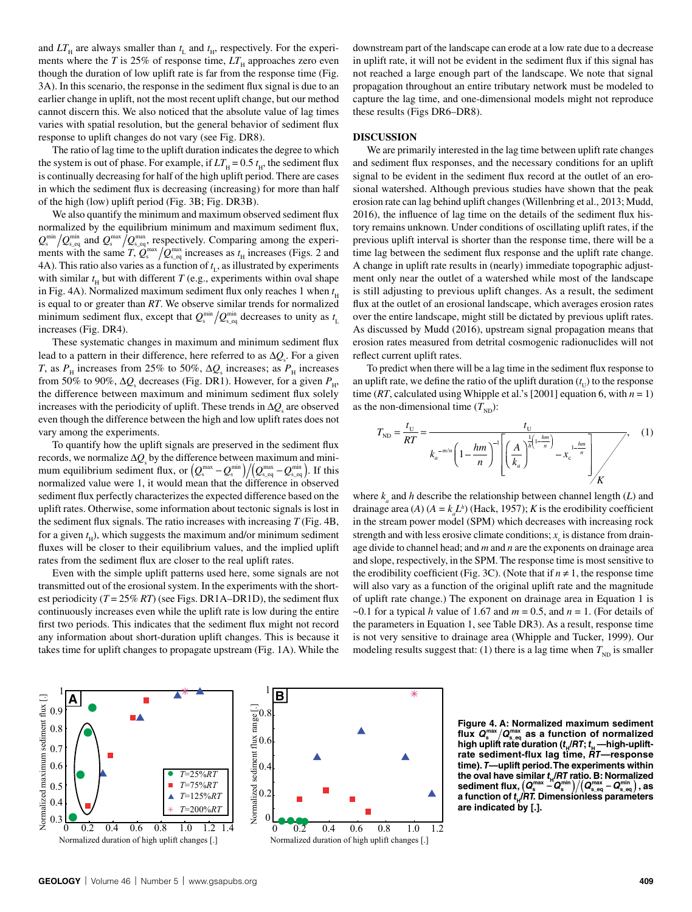and  $LT_{\text{H}}$  are always smaller than  $t_{\text{L}}$  and  $t_{\text{H}}$ , respectively. For the experiments where the *T* is 25% of response time,  $LT_{\text{H}}$  approaches zero even though the duration of low uplift rate is far from the response time (Fig. 3A). In this scenario, the response in the sediment flux signal is due to an earlier change in uplift, not the most recent uplift change, but our method cannot discern this. We also noticed that the absolute value of lag times varies with spatial resolution, but the general behavior of sediment flux response to uplift changes do not vary (see Fig. DR8).

The ratio of lag time to the uplift duration indicates the degree to which the system is out of phase. For example, if  $LT_{\text{H}} = 0.5 t_{\text{H}}$ , the sediment flux is continually decreasing for half of the high uplift period. There are cases in which the sediment flux is decreasing (increasing) for more than half of the high (low) uplift period (Fig. 3B; Fig. DR3B).

We also quantify the minimum and maximum observed sediment flux normalized by the equilibrium minimum and maximum sediment flux,  $Q_s^{\min}/Q_{s_{\text{eq}}}^{\min}$  and  $Q_s^{\max}/Q_{s_{\text{eq}}}^{\max}$ , respectively. Comparing among the experiments with the same *T*,  $Q_s^{\max}/Q_{s\_eq}^{\max}$  increases as  $t_H$  increases (Figs. 2 and 4A). This ratio also varies as a function of *t* L, as illustrated by experiments with similar  $t_{\rm H}$  but with different *T* (e.g., experiments within oval shape in Fig. 4A). Normalized maximum sediment flux only reaches 1 when  $t_{\rm H}$ is equal to or greater than *RT*. We observe similar trends for normalized minimum sediment flux, except that  $Q_{\text{s}}^{\min}/Q_{\text{s\_eq}}^{\min}$  decreases to unity as  $t_{\text{L}}$ increases (Fig. DR4).

These systematic changes in maximum and minimum sediment flux lead to a pattern in their difference, here referred to as  $\Delta Q_{\rm s}$ . For a given *T*, as  $P_H$  increases from 25% to 50%,  $\Delta Q_s$  increases; as  $P_H$  increases from 50% to 90%,  $\Delta Q_s$  decreases (Fig. DR1). However, for a given  $P_H$ , the difference between maximum and minimum sediment flux solely increases with the periodicity of uplift. These trends in  $\Delta Q_s$  are observed even though the difference between the high and low uplift rates does not vary among the experiments.

To quantify how the uplift signals are preserved in the sediment flux records, we normalize  $\Delta Q$ <sub>s</sub> by the difference between maximum and minimum equilibrium sediment flux, or  $(Q_s^{\max} - Q_s^{\min})/(Q_{s_{eq}}^{\max} - Q_{s_{eq}}^{\min})$ . If this normalized value were 1, it would mean that the difference in observed sediment flux perfectly characterizes the expected difference based on the uplift rates. Otherwise, some information about tectonic signals is lost in the sediment flux signals. The ratio increases with increasing *T* (Fig. 4B, for a given  $t_{\rm H}$ ), which suggests the maximum and/or minimum sediment fluxes will be closer to their equilibrium values, and the implied uplift rates from the sediment flux are closer to the real uplift rates.

Even with the simple uplift patterns used here, some signals are not transmitted out of the erosional system. In the experiments with the shortest periodicity  $(T = 25\% RT)$  (see Figs. DR1A–DR1D), the sediment flux continuously increases even while the uplift rate is low during the entire first two periods. This indicates that the sediment flux might not record any information about short-duration uplift changes. This is because it takes time for uplift changes to propagate upstream (Fig. 1A). While the

downstream part of the landscape can erode at a low rate due to a decrease in uplift rate, it will not be evident in the sediment flux if this signal has not reached a large enough part of the landscape. We note that signal propagation throughout an entire tributary network must be modeled to capture the lag time, and one-dimensional models might not reproduce these results (Figs DR6–DR8).

## **DISCUSSION**

We are primarily interested in the lag time between uplift rate changes and sediment flux responses, and the necessary conditions for an uplift signal to be evident in the sediment flux record at the outlet of an erosional watershed. Although previous studies have shown that the peak erosion rate can lag behind uplift changes (Willenbring et al., 2013; Mudd, 2016), the influence of lag time on the details of the sediment flux history remains unknown. Under conditions of oscillating uplift rates, if the previous uplift interval is shorter than the response time, there will be a time lag between the sediment flux response and the uplift rate change. A change in uplift rate results in (nearly) immediate topographic adjustment only near the outlet of a watershed while most of the landscape is still adjusting to previous uplift changes. As a result, the sediment flux at the outlet of an erosional landscape, which averages erosion rates over the entire landscape, might still be dictated by previous uplift rates. As discussed by Mudd (2016), upstream signal propagation means that erosion rates measured from detrital cosmogenic radionuclides will not reflect current uplift rates.

To predict when there will be a lag time in the sediment flux response to an uplift rate, we define the ratio of the uplift duration  $(t_0)$  to the response time (*RT*, calculated using Whipple et al.'s [2001] equation 6, with  $n = 1$ ) as the non-dimensional time  $(T_{ND})$ :

$$
T_{\text{ND}} = \frac{t_{\text{U}}}{RT} = \frac{t_{\text{U}}}{k_a^{-m/n} \left(1 - \frac{hm}{n}\right)^{-1} \left[\left(\frac{A}{k_a}\right)^{\frac{1}{h}\left(1 - \frac{hm}{n}\right)} - x_{\text{c}}^{-1 - \frac{hm}{n}}\right] \sqrt{K}},\tag{1}
$$

where  $k_a$  and  $h$  describe the relationship between channel length ( $L$ ) and drainage area (*A*) ( $A = k_a L^h$ ) (Hack, 1957); *K* is the erodibility coefficient in the stream power model (SPM) which decreases with increasing rock strength and with less erosive climate conditions;  $x_c$  is distance from drainage divide to channel head; and *m* and *n* are the exponents on drainage area and slope, respectively, in the SPM. The response time is most sensitive to the erodibility coefficient (Fig. 3C). (Note that if  $n \neq 1$ , the response time will also vary as a function of the original uplift rate and the magnitude of uplift rate change.) The exponent on drainage area in Equation 1 is  $\sim$ 0.1 for a typical *h* value of 1.67 and *m* = 0.5, and *n* = 1. (For details of the parameters in Equation 1, see Table DR3). As a result, response time is not very sensitive to drainage area (Whipple and Tucker, 1999). Our modeling results suggest that: (1) there is a lag time when  $T_{ND}$  is smaller





**Figure 4. A: Normalized maximum sediment**  flux  $\bm{Q}_{\mathrm{s}}^{\mathrm{max}}/\bm{Q}_{\mathrm{s\_eq}}^{\mathrm{max}}$  as a function of normalized high uplift rate duration  $(t_{\rm H}/RT; t_{\rm H}$  —high-uplift**rate sediment-flux lag time,** *RT***—response time).** *T***—uplift period. The experiments within the oval have similar** *t***H***/RT* **ratio. B: Normalized**   ${\bf s}$ ediment flux,  $\left( \boldsymbol{Q}_{\rm s}^{\rm max} - \boldsymbol{Q}_{\rm s}^{\rm min} \right) / \left( \boldsymbol{Q}_{\rm s\_eq}^{\rm max} - \boldsymbol{Q}_{\rm s\_eq}^{\rm min} \right),$  as **a function of** *t***H/***RT.* **Dimensionless parameters are indicated by [.].**